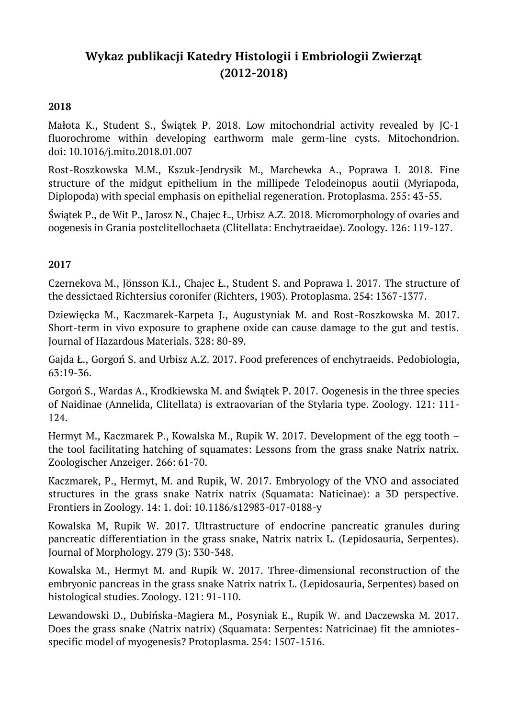# **Wykaz publikacji Katedry Histologii i Embriologii Zwierząt (2012-2018)**

## **2018**

Małota K., Student S., Świątek P. 2018. Low mitochondrial activity revealed by JC-1 fluorochrome within developing earthworm male germ-line cysts. Mitochondrion. doi: 10.1016/j.mito.2018.01.007

Rost-Roszkowska M.M., Kszuk-Jendrysik M., Marchewka A., Poprawa I. 2018. Fine structure of the midgut epithelium in the millipede Telodeinopus aoutii (Myriapoda, Diplopoda) with special emphasis on epithelial regeneration. Protoplasma. 255: 43-55.

Świątek P., de Wit P., Jarosz N., Chajec Ł., Urbisz A.Z. 2018. Micromorphology of ovaries and oogenesis in Grania postclitellochaeta (Clitellata: Enchytraeidae). Zoology. 126: 119-127.

#### **2017**

Czernekova M., Jönsson K.I., Chajec Ł., Student S. and Poprawa I. 2017. The structure of the dessictaed Richtersius coronifer (Richters, 1903). Protoplasma. 254: 1367-1377.

Dziewięcka M., Kaczmarek-Karpeta J., Augustyniak M. and Rost-Roszkowska M. 2017. Short-term in vivo exposure to graphene oxide can cause damage to the gut and testis. Journal of Hazardous Materials. 328: 80-89.

Gajda Ł., Gorgoń S. and Urbisz A.Z. 2017. Food preferences of enchytraeids. Pedobiologia, 63:19-36.

Gorgoń S., Wardas A., Krodkiewska M. and Świątek P. 2017. Oogenesis in the three species of Naidinae (Annelida, Clitellata) is extraovarian of the Stylaria type. Zoology. 121: 111- 124.

Hermyt M., Kaczmarek P., Kowalska M., Rupik W. 2017. Development of the egg tooth – the tool facilitating hatching of squamates: Lessons from the grass snake Natrix natrix. Zoologischer Anzeiger. 266: 61-70.

Kaczmarek, P., Hermyt, M. and Rupik, W. 2017. Embryology of the VNO and associated structures in the grass snake Natrix natrix (Squamata: Naticinae): a 3D perspective. Frontiers in Zoology. 14: 1. doi: 10.1186/s12983-017-0188-y

Kowalska M, Rupik W. 2017. Ultrastructure of endocrine pancreatic granules during pancreatic differentiation in the grass snake, Natrix natrix L. (Lepidosauria, Serpentes). Journal of Morphology. 279 (3): 330-348.

Kowalska M., Hermyt M. and Rupik W. 2017. Three-dimensional reconstruction of the embryonic pancreas in the grass snake Natrix natrix L. (Lepidosauria, Serpentes) based on histological studies. Zoology. 121: 91-110.

Lewandowski D., Dubińska-Magiera M., Posyniak E., Rupik W. and Daczewska M. 2017. Does the grass snake (Natrix natrix) (Squamata: Serpentes: Natricinae) fit the amniotesspecific model of myogenesis? Protoplasma. 254: 1507-1516.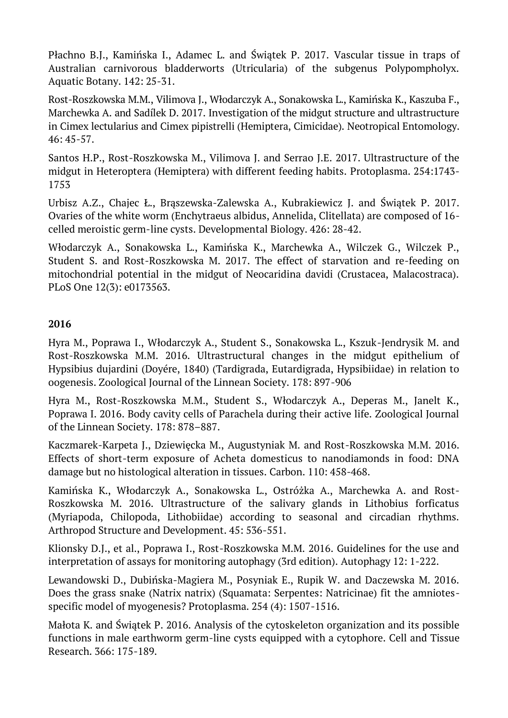Płachno B.J., Kamińska I., Adamec L. and Świątek P. 2017. Vascular tissue in traps of Australian carnivorous bladderworts (Utricularia) of the subgenus Polypompholyx. Aquatic Botany. 142: 25-31.

Rost-Roszkowska M.M., Vilimova J., Włodarczyk A., Sonakowska L., Kamińska K., Kaszuba F., Marchewka A. and Sadílek D. 2017. Investigation of the midgut structure and ultrastructure in Cimex lectularius and Cimex pipistrelli (Hemiptera, Cimicidae). Neotropical Entomology. 46: 45-57.

Santos H.P., Rost-Roszkowska M., Vilimova J. and Serrao J.E. 2017. Ultrastructure of the midgut in Heteroptera (Hemiptera) with different feeding habits. Protoplasma. 254:1743- 1753

Urbisz A.Z., Chajec Ł., Brąszewska-Zalewska A., Kubrakiewicz J. and Świątek P. 2017. Ovaries of the white worm (Enchytraeus albidus, Annelida, Clitellata) are composed of 16 celled meroistic germ-line cysts. Developmental Biology. 426: 28-42.

Włodarczyk A., Sonakowska L., Kamińska K., Marchewka A., Wilczek G., Wilczek P., Student S. and Rost-Roszkowska M. 2017. The effect of starvation and re-feeding on mitochondrial potential in the midgut of Neocaridina davidi (Crustacea, Malacostraca). PLoS One 12(3): e0173563.

## **2016**

Hyra M., Poprawa I., Włodarczyk A., Student S., Sonakowska L., Kszuk-Jendrysik M. and Rost-Roszkowska M.M. 2016. Ultrastructural changes in the midgut epithelium of Hypsibius dujardini (Doyére, 1840) (Tardigrada, Eutardigrada, Hypsibiidae) in relation to oogenesis. Zoological Journal of the Linnean Society. 178: 897-906

Hyra M., Rost-Roszkowska M.M., Student S., Włodarczyk A., Deperas M., Janelt K., Poprawa I. 2016. Body cavity cells of Parachela during their active life. Zoological Journal of the Linnean Society. 178: 878–887.

Kaczmarek-Karpeta J., Dziewięcka M., Augustyniak M. and Rost-Roszkowska M.M. 2016. Effects of short-term exposure of Acheta domesticus to nanodiamonds in food: DNA damage but no histological alteration in tissues. Carbon. 110: 458-468.

Kamińska K., Włodarczyk A., Sonakowska L., Ostróżka A., Marchewka A. and Rost-Roszkowska M. 2016. Ultrastructure of the salivary glands in Lithobius forficatus (Myriapoda, Chilopoda, Lithobiidae) according to seasonal and circadian rhythms. Arthropod Structure and Development. 45: 536-551.

Klionsky D.J., et al., Poprawa I., Rost-Roszkowska M.M. 2016. Guidelines for the use and interpretation of assays for monitoring autophagy (3rd edition). Autophagy 12: 1-222.

Lewandowski D., Dubińska-Magiera M., Posyniak E., Rupik W. and Daczewska M. 2016. Does the grass snake (Natrix natrix) (Squamata: Serpentes: Natricinae) fit the amniotesspecific model of myogenesis? Protoplasma. 254 (4): 1507-1516.

Małota K. and Świątek P. 2016. Analysis of the cytoskeleton organization and its possible functions in male earthworm germ-line cysts equipped with a cytophore. Cell and Tissue Research. 366: 175-189.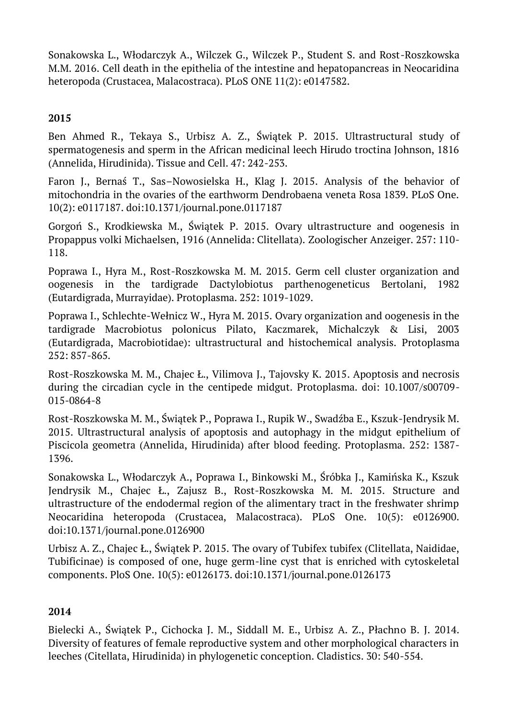Sonakowska L., Włodarczyk A., Wilczek G., Wilczek P., Student S. and Rost-Roszkowska M.M. 2016. Cell death in the epithelia of the intestine and hepatopancreas in Neocaridina heteropoda (Crustacea, Malacostraca). PLoS ONE 11(2): e0147582.

# **2015**

Ben Ahmed R., Tekaya S., Urbisz A. Z., Świątek P. 2015. Ultrastructural study of spermatogenesis and sperm in the African medicinal leech Hirudo troctina Johnson, 1816 (Annelida, Hirudinida). Tissue and Cell. 47: 242-253.

Faron J., Bernaś T., Sas–Nowosielska H., Klag J. 2015. Analysis of the behavior of mitochondria in the ovaries of the earthworm Dendrobaena veneta Rosa 1839. PLoS One. 10(2): e0117187. doi:10.1371/journal.pone.0117187

Gorgoń S., Krodkiewska M., Świątek P. 2015. Ovary ultrastructure and oogenesis in Propappus volki Michaelsen, 1916 (Annelida: Clitellata). Zoologischer Anzeiger. 257: 110- 118.

Poprawa I., Hyra M., Rost-Roszkowska M. M. 2015. Germ cell cluster organization and oogenesis in the tardigrade Dactylobiotus parthenogeneticus Bertolani, 1982 (Eutardigrada, Murrayidae). Protoplasma. 252: 1019-1029.

Poprawa I., Schlechte-Wełnicz W., Hyra M. 2015. Ovary organization and oogenesis in the tardigrade Macrobiotus polonicus Pilato, Kaczmarek, Michalczyk & Lisi, 2003 (Eutardigrada, Macrobiotidae): ultrastructural and histochemical analysis. Protoplasma 252: 857-865.

Rost-Roszkowska M. M., Chajec Ł., Vilimova J., Tajovsky K. 2015. Apoptosis and necrosis during the circadian cycle in the centipede midgut. Protoplasma. doi: 10.1007/s00709- 015-0864-8

Rost-Roszkowska M. M., Świątek P., Poprawa I., Rupik W., Swadźba E., Kszuk-Jendrysik M. 2015. Ultrastructural analysis of apoptosis and autophagy in the midgut epithelium of Piscicola geometra (Annelida, Hirudinida) after blood feeding. Protoplasma. 252: 1387- 1396.

Sonakowska L., Włodarczyk A., Poprawa I., Binkowski M., Śróbka J., Kamińska K., Kszuk Jendrysik M., Chajec Ł., Zajusz B., Rost-Roszkowska M. M. 2015. Structure and ultrastructure of the endodermal region of the alimentary tract in the freshwater shrimp Neocaridina heteropoda (Crustacea, Malacostraca). PLoS One. 10(5): e0126900. doi:10.1371/journal.pone.0126900

Urbisz A. Z., Chajec Ł., Świątek P. 2015. The ovary of Tubifex tubifex (Clitellata, Naididae, Tubificinae) is composed of one, huge germ-line cyst that is enriched with cytoskeletal components. PloS One. 10(5): e0126173. doi:10.1371/journal.pone.0126173

## **2014**

Bielecki A., Świątek P., Cichocka J. M., Siddall M. E., Urbisz A. Z., Płachno B. J. 2014. Diversity of features of female reproductive system and other morphological characters in leeches (Citellata, Hirudinida) in phylogenetic conception. Cladistics. 30: 540-554.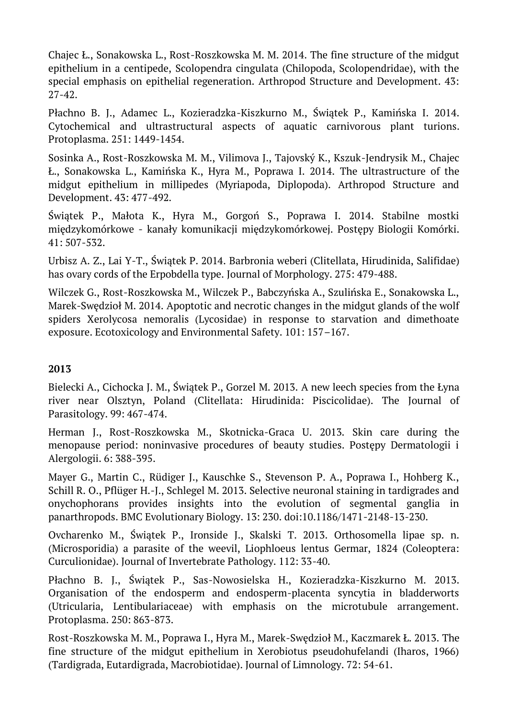Chajec Ł., Sonakowska L., Rost-Roszkowska M. M. 2014. The fine structure of the midgut epithelium in a centipede, Scolopendra cingulata (Chilopoda, Scolopendridae), with the special emphasis on epithelial regeneration. Arthropod Structure and Development. 43: 27-42.

Płachno B. J., Adamec L., Kozieradzka-Kiszkurno M., Świątek P., Kamińska I. 2014. Cytochemical and ultrastructural aspects of aquatic carnivorous plant turions. Protoplasma. 251: 1449-1454.

Sosinka A., Rost-Roszkowska M. M., Vilimova J., Tajovský K., Kszuk-Jendrysik M., Chajec Ł., Sonakowska L., Kamińska K., Hyra M., Poprawa I. 2014. The ultrastructure of the midgut epithelium in millipedes (Myriapoda, Diplopoda). Arthropod Structure and Development. 43: 477-492.

Świątek P., Małota K., Hyra M., Gorgoń S., Poprawa I. 2014. Stabilne mostki międzykomórkowe - kanały komunikacji międzykomórkowej. Postępy Biologii Komórki. 41: 507-532.

Urbisz A. Z., Lai Y-T., Świątek P. 2014. Barbronia weberi (Clitellata, Hirudinida, Salifidae) has ovary cords of the Erpobdella type. Journal of Morphology. 275: 479-488.

Wilczek G., Rost-Roszkowska M., Wilczek P., Babczyńska A., Szulińska E., Sonakowska L., Marek-Swędzioł M. 2014. Apoptotic and necrotic changes in the midgut glands of the wolf spiders Xerolycosa nemoralis (Lycosidae) in response to starvation and dimethoate exposure. Ecotoxicology and Environmental Safety. 101: 157–167.

## **2013**

Bielecki A., Cichocka J. M., Świątek P., Gorzel M. 2013. A new leech species from the Łyna river near Olsztyn, Poland (Clitellata: Hirudinida: Piscicolidae). The Journal of Parasitology. 99: 467-474.

Herman J., Rost-Roszkowska M., Skotnicka-Graca U. 2013. Skin care during the menopause period: noninvasive procedures of beauty studies. Postępy Dermatologii i Alergologii. 6: 388-395.

Mayer G., Martin C., Rüdiger J., Kauschke S., Stevenson P. A., Poprawa I., Hohberg K., Schill R. O., Pflüger H.-J., Schlegel M. 2013. Selective neuronal staining in tardigrades and onychophorans provides insights into the evolution of segmental ganglia in panarthropods. BMC Evolutionary Biology. 13: 230. doi:10.1186/1471-2148-13-230.

Ovcharenko M., Świątek P., Ironside J., Skalski T. 2013. Orthosomella lipae sp. n. (Microsporidia) a parasite of the weevil, Liophloeus lentus Germar, 1824 (Coleoptera: Curculionidae). Journal of Invertebrate Pathology. 112: 33-40.

Płachno B. J., Świątek P., Sas-Nowosielska H., Kozieradzka-Kiszkurno M. 2013. Organisation of the endosperm and endosperm-placenta syncytia in bladderworts (Utricularia, Lentibulariaceae) with emphasis on the microtubule arrangement. Protoplasma. 250: 863-873.

Rost-Roszkowska M. M., Poprawa I., Hyra M., Marek-Swędzioł M., Kaczmarek Ł. 2013. The fine structure of the midgut epithelium in Xerobiotus pseudohufelandi (Iharos, 1966) (Tardigrada, Eutardigrada, Macrobiotidae). Journal of Limnology. 72: 54-61.